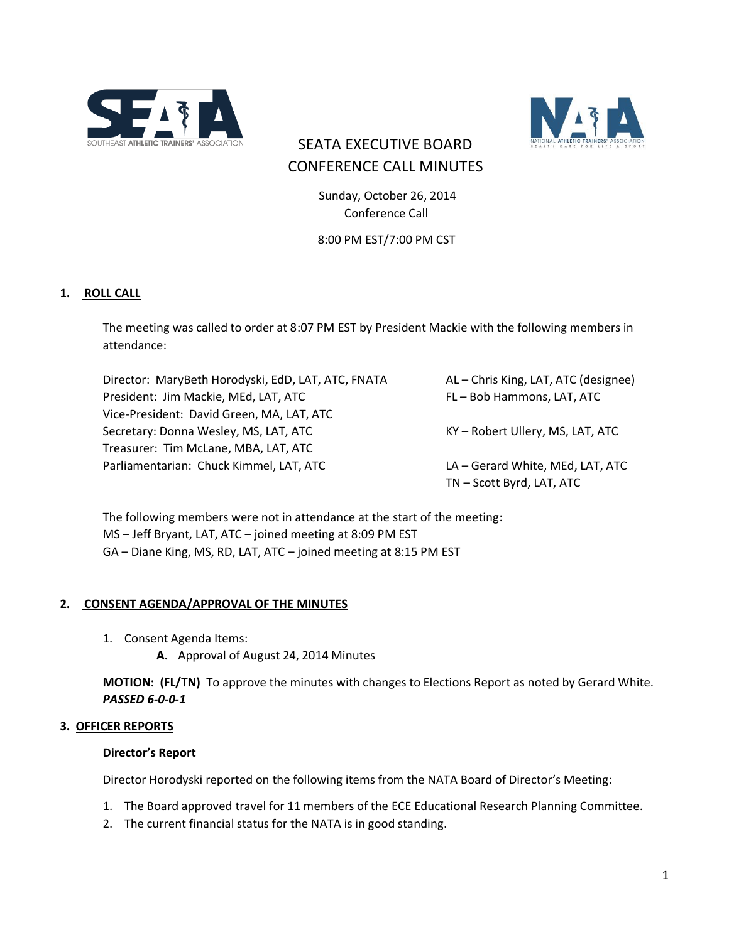



# SEATA EXECUTIVE BOARD CONFERENCE CALL MINUTES

 Sunday, October 26, 2014 Conference Call

8:00 PM EST/7:00 PM CST

# **1. ROLL CALL**

The meeting was called to order at 8:07 PM EST by President Mackie with the following members in attendance:

Director: MaryBeth Horodyski, EdD, LAT, ATC, FNATA AL – Chris King, LAT, ATC (designee) President: Jim Mackie, MEd, LAT, ATC FL – Bob Hammons, LAT, ATC Vice-President: David Green, MA, LAT, ATC Secretary: Donna Wesley, MS, LAT, ATC KY – Robert Ullery, MS, LAT, ATC Treasurer: Tim McLane, MBA, LAT, ATC Parliamentarian: Chuck Kimmel, LAT, ATC LA – Gerard White, MEd, LAT, ATC TN – Scott Byrd, LAT, ATC

The following members were not in attendance at the start of the meeting: MS – Jeff Bryant, LAT, ATC – joined meeting at 8:09 PM EST GA – Diane King, MS, RD, LAT, ATC – joined meeting at 8:15 PM EST

#### **2. CONSENT AGENDA/APPROVAL OF THE MINUTES**

- 1. Consent Agenda Items:
	- **A.** Approval of August 24, 2014 Minutes

**MOTION: (FL/TN)** To approve the minutes with changes to Elections Report as noted by Gerard White. *PASSED 6-0-0-1*

#### **3. OFFICER REPORTS**

#### **Director's Report**

Director Horodyski reported on the following items from the NATA Board of Director's Meeting:

- 1. The Board approved travel for 11 members of the ECE Educational Research Planning Committee.
- 2. The current financial status for the NATA is in good standing.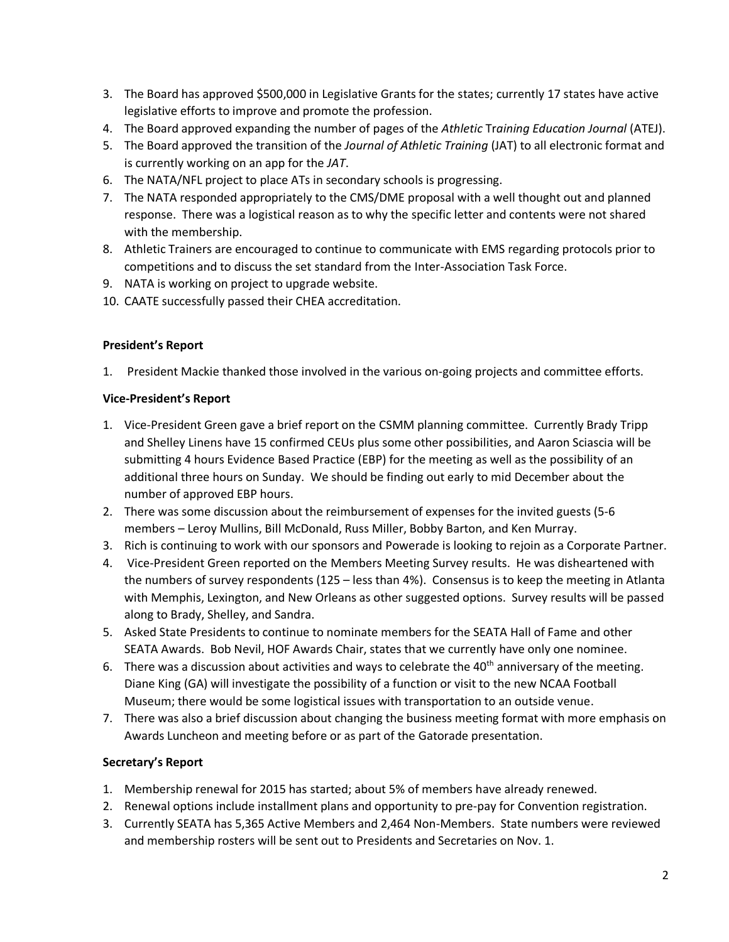- 3. The Board has approved \$500,000 in Legislative Grants for the states; currently 17 states have active legislative efforts to improve and promote the profession.
- 4. The Board approved expanding the number of pages of the *Athletic* Tr*aining Education Journal* (ATEJ).
- 5. The Board approved the transition of the *Journal of Athletic Training* (JAT) to all electronic format and is currently working on an app for the *JAT*.
- 6. The NATA/NFL project to place ATs in secondary schools is progressing.
- 7. The NATA responded appropriately to the CMS/DME proposal with a well thought out and planned response. There was a logistical reason as to why the specific letter and contents were not shared with the membership.
- 8. Athletic Trainers are encouraged to continue to communicate with EMS regarding protocols prior to competitions and to discuss the set standard from the Inter-Association Task Force.
- 9. NATA is working on project to upgrade website.
- 10. CAATE successfully passed their CHEA accreditation.

# **President's Report**

1. President Mackie thanked those involved in the various on-going projects and committee efforts.

#### **Vice-President's Report**

- 1. Vice-President Green gave a brief report on the CSMM planning committee. Currently Brady Tripp and Shelley Linens have 15 confirmed CEUs plus some other possibilities, and Aaron Sciascia will be submitting 4 hours Evidence Based Practice (EBP) for the meeting as well as the possibility of an additional three hours on Sunday. We should be finding out early to mid December about the number of approved EBP hours.
- 2. There was some discussion about the reimbursement of expenses for the invited guests (5-6 members – Leroy Mullins, Bill McDonald, Russ Miller, Bobby Barton, and Ken Murray.
- 3. Rich is continuing to work with our sponsors and Powerade is looking to rejoin as a Corporate Partner.
- 4. Vice-President Green reported on the Members Meeting Survey results. He was disheartened with the numbers of survey respondents (125 – less than 4%). Consensus is to keep the meeting in Atlanta with Memphis, Lexington, and New Orleans as other suggested options. Survey results will be passed along to Brady, Shelley, and Sandra.
- 5. Asked State Presidents to continue to nominate members for the SEATA Hall of Fame and other SEATA Awards. Bob Nevil, HOF Awards Chair, states that we currently have only one nominee.
- 6. There was a discussion about activities and ways to celebrate the  $40<sup>th</sup>$  anniversary of the meeting. Diane King (GA) will investigate the possibility of a function or visit to the new NCAA Football Museum; there would be some logistical issues with transportation to an outside venue.
- 7. There was also a brief discussion about changing the business meeting format with more emphasis on Awards Luncheon and meeting before or as part of the Gatorade presentation.

# **Secretary's Report**

- 1. Membership renewal for 2015 has started; about 5% of members have already renewed.
- 2. Renewal options include installment plans and opportunity to pre-pay for Convention registration.
- 3. Currently SEATA has 5,365 Active Members and 2,464 Non-Members. State numbers were reviewed and membership rosters will be sent out to Presidents and Secretaries on Nov. 1.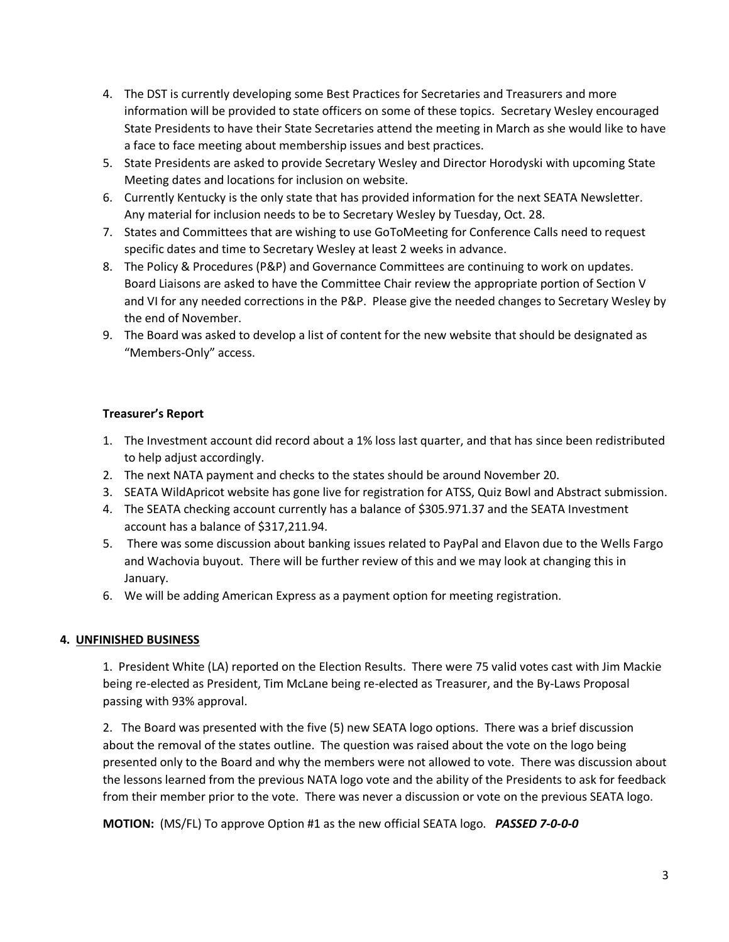- 4. The DST is currently developing some Best Practices for Secretaries and Treasurers and more information will be provided to state officers on some of these topics. Secretary Wesley encouraged State Presidents to have their State Secretaries attend the meeting in March as she would like to have a face to face meeting about membership issues and best practices.
- 5. State Presidents are asked to provide Secretary Wesley and Director Horodyski with upcoming State Meeting dates and locations for inclusion on website.
- 6. Currently Kentucky is the only state that has provided information for the next SEATA Newsletter. Any material for inclusion needs to be to Secretary Wesley by Tuesday, Oct. 28.
- 7. States and Committees that are wishing to use GoToMeeting for Conference Calls need to request specific dates and time to Secretary Wesley at least 2 weeks in advance.
- 8. The Policy & Procedures (P&P) and Governance Committees are continuing to work on updates. Board Liaisons are asked to have the Committee Chair review the appropriate portion of Section V and VI for any needed corrections in the P&P. Please give the needed changes to Secretary Wesley by the end of November.
- 9. The Board was asked to develop a list of content for the new website that should be designated as "Members-Only" access.

# **Treasurer's Report**

- 1. The Investment account did record about a 1% loss last quarter, and that has since been redistributed to help adjust accordingly.
- 2. The next NATA payment and checks to the states should be around November 20.
- 3. SEATA WildApricot website has gone live for registration for ATSS, Quiz Bowl and Abstract submission.
- 4. The SEATA checking account currently has a balance of \$305.971.37 and the SEATA Investment account has a balance of \$317,211.94.
- 5. There was some discussion about banking issues related to PayPal and Elavon due to the Wells Fargo and Wachovia buyout. There will be further review of this and we may look at changing this in January.
- 6. We will be adding American Express as a payment option for meeting registration.

# **4. UNFINISHED BUSINESS**

1. President White (LA) reported on the Election Results. There were 75 valid votes cast with Jim Mackie being re-elected as President, Tim McLane being re-elected as Treasurer, and the By-Laws Proposal passing with 93% approval.

2. The Board was presented with the five (5) new SEATA logo options. There was a brief discussion about the removal of the states outline. The question was raised about the vote on the logo being presented only to the Board and why the members were not allowed to vote. There was discussion about the lessons learned from the previous NATA logo vote and the ability of the Presidents to ask for feedback from their member prior to the vote. There was never a discussion or vote on the previous SEATA logo.

**MOTION:** (MS/FL) To approve Option #1 as the new official SEATA logo. *PASSED 7-0-0-0*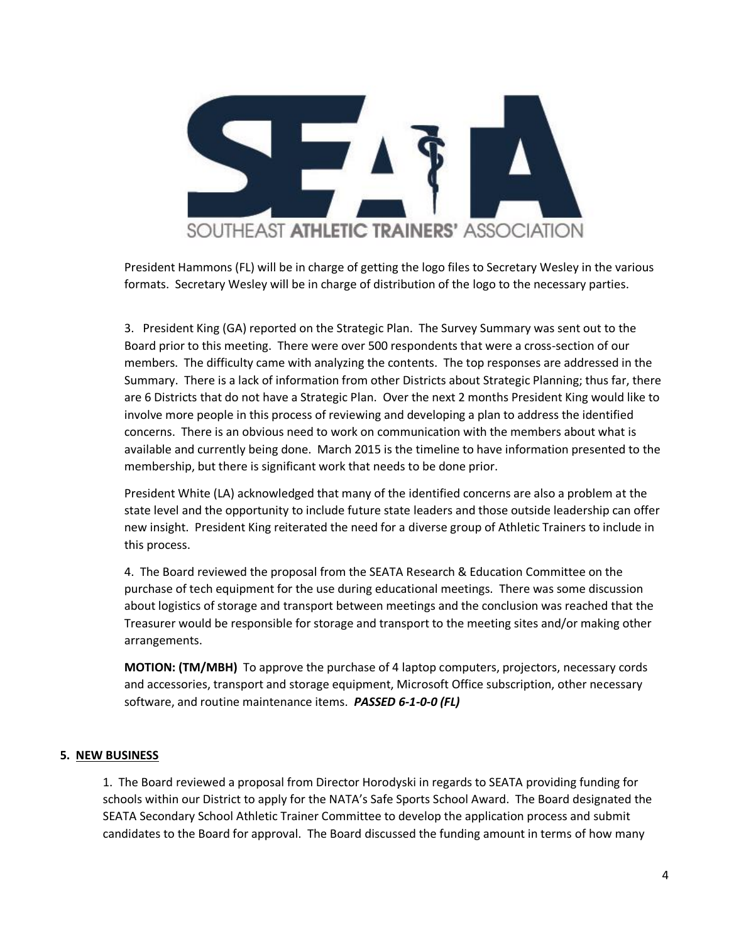

President Hammons (FL) will be in charge of getting the logo files to Secretary Wesley in the various formats. Secretary Wesley will be in charge of distribution of the logo to the necessary parties.

3. President King (GA) reported on the Strategic Plan. The Survey Summary was sent out to the Board prior to this meeting. There were over 500 respondents that were a cross-section of our members. The difficulty came with analyzing the contents. The top responses are addressed in the Summary. There is a lack of information from other Districts about Strategic Planning; thus far, there are 6 Districts that do not have a Strategic Plan. Over the next 2 months President King would like to involve more people in this process of reviewing and developing a plan to address the identified concerns. There is an obvious need to work on communication with the members about what is available and currently being done. March 2015 is the timeline to have information presented to the membership, but there is significant work that needs to be done prior.

President White (LA) acknowledged that many of the identified concerns are also a problem at the state level and the opportunity to include future state leaders and those outside leadership can offer new insight. President King reiterated the need for a diverse group of Athletic Trainers to include in this process.

4. The Board reviewed the proposal from the SEATA Research & Education Committee on the purchase of tech equipment for the use during educational meetings. There was some discussion about logistics of storage and transport between meetings and the conclusion was reached that the Treasurer would be responsible for storage and transport to the meeting sites and/or making other arrangements.

**MOTION: (TM/MBH)** To approve the purchase of 4 laptop computers, projectors, necessary cords and accessories, transport and storage equipment, Microsoft Office subscription, other necessary software, and routine maintenance items. *PASSED 6-1-0-0 (FL)*

# **5. NEW BUSINESS**

1. The Board reviewed a proposal from Director Horodyski in regards to SEATA providing funding for schools within our District to apply for the NATA's Safe Sports School Award. The Board designated the SEATA Secondary School Athletic Trainer Committee to develop the application process and submit candidates to the Board for approval. The Board discussed the funding amount in terms of how many